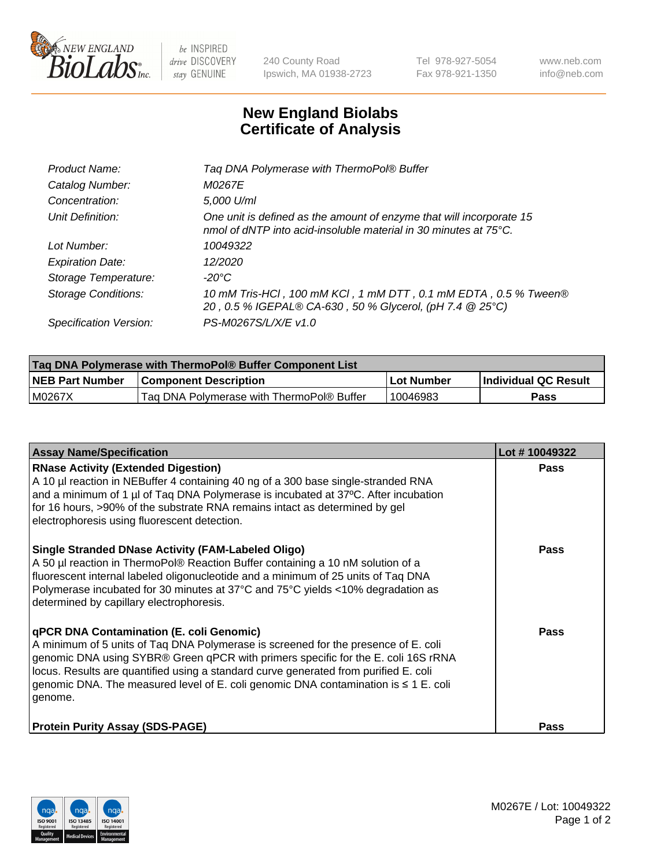

 $be$  INSPIRED drive DISCOVERY stay GENUINE

240 County Road Ipswich, MA 01938-2723 Tel 978-927-5054 Fax 978-921-1350 www.neb.com info@neb.com

## **New England Biolabs Certificate of Analysis**

| Tag DNA Polymerase with ThermoPol® Buffer                                                                                                |
|------------------------------------------------------------------------------------------------------------------------------------------|
| M0267E                                                                                                                                   |
| 5,000 U/ml                                                                                                                               |
| One unit is defined as the amount of enzyme that will incorporate 15<br>nmol of dNTP into acid-insoluble material in 30 minutes at 75°C. |
| 10049322                                                                                                                                 |
| 12/2020                                                                                                                                  |
| $-20^{\circ}$ C                                                                                                                          |
| 10 mM Tris-HCl, 100 mM KCl, 1 mM DTT, 0.1 mM EDTA, 0.5 % Tween®<br>20, 0.5 % IGEPAL® CA-630, 50 % Glycerol, (pH 7.4 @ 25°C)              |
| PS-M0267S/L/X/E v1.0                                                                                                                     |
|                                                                                                                                          |

| <b>Tag DNA Polymerase with ThermoPol® Buffer Component List</b> |                                           |                   |                      |  |
|-----------------------------------------------------------------|-------------------------------------------|-------------------|----------------------|--|
| <b>NEB Part Number</b>                                          | <b>Component Description</b>              | <b>Lot Number</b> | Individual QC Result |  |
| IM0267X                                                         | Tag DNA Polymerase with ThermoPol® Buffer | 10046983          | Pass                 |  |

| <b>Assay Name/Specification</b>                                                                                                                                                                                                                                                                                                                                                                               | Lot #10049322 |
|---------------------------------------------------------------------------------------------------------------------------------------------------------------------------------------------------------------------------------------------------------------------------------------------------------------------------------------------------------------------------------------------------------------|---------------|
| <b>RNase Activity (Extended Digestion)</b><br>A 10 µl reaction in NEBuffer 4 containing 40 ng of a 300 base single-stranded RNA<br>and a minimum of 1 µl of Taq DNA Polymerase is incubated at 37°C. After incubation<br>for 16 hours, >90% of the substrate RNA remains intact as determined by gel<br>electrophoresis using fluorescent detection.                                                          | <b>Pass</b>   |
| <b>Single Stranded DNase Activity (FAM-Labeled Oligo)</b><br>A 50 µl reaction in ThermoPol® Reaction Buffer containing a 10 nM solution of a<br>fluorescent internal labeled oligonucleotide and a minimum of 25 units of Taq DNA<br>Polymerase incubated for 30 minutes at 37°C and 75°C yields <10% degradation as<br>determined by capillary electrophoresis.                                              | <b>Pass</b>   |
| qPCR DNA Contamination (E. coli Genomic)<br>A minimum of 5 units of Taq DNA Polymerase is screened for the presence of E. coli<br>genomic DNA using SYBR® Green qPCR with primers specific for the E. coli 16S rRNA<br>locus. Results are quantified using a standard curve generated from purified E. coli<br>genomic DNA. The measured level of E. coli genomic DNA contamination is ≤ 1 E. coli<br>genome. | <b>Pass</b>   |
| <b>Protein Purity Assay (SDS-PAGE)</b>                                                                                                                                                                                                                                                                                                                                                                        | <b>Pass</b>   |